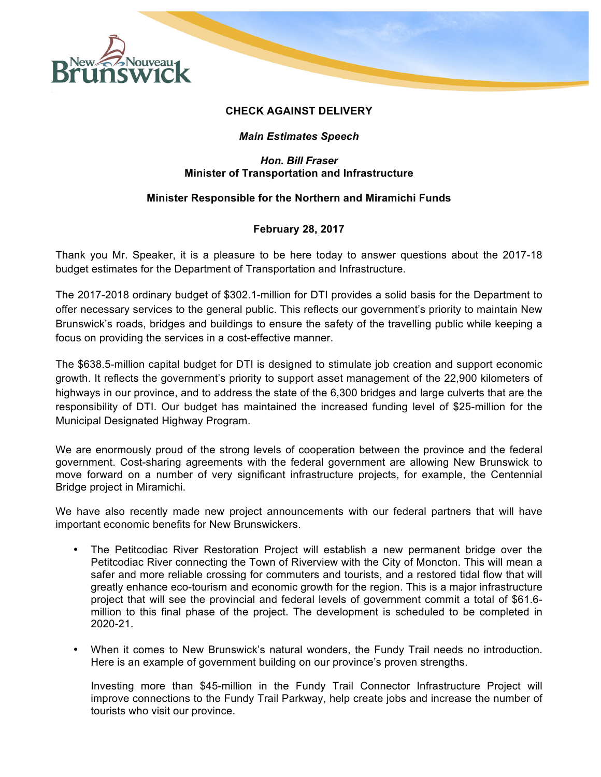

### **CHECK AGAINST DELIVERY**

# *Main Estimates Speech*

#### *Hon. Bill Fraser* **Minister of Transportation and Infrastructure**

## **Minister Responsible for the Northern and Miramichi Funds**

## **February 28, 2017**

Thank you Mr. Speaker, it is a pleasure to be here today to answer questions about the 2017-18 budget estimates for the Department of Transportation and Infrastructure.

The 2017-2018 ordinary budget of \$302.1-million for DTI provides a solid basis for the Department to offer necessary services to the general public. This reflects our government's priority to maintain New Brunswick's roads, bridges and buildings to ensure the safety of the travelling public while keeping a focus on providing the services in a cost-effective manner.

The \$638.5-million capital budget for DTI is designed to stimulate job creation and support economic growth. It reflects the government's priority to support asset management of the 22,900 kilometers of highways in our province, and to address the state of the 6,300 bridges and large culverts that are the responsibility of DTI. Our budget has maintained the increased funding level of \$25-million for the Municipal Designated Highway Program.

We are enormously proud of the strong levels of cooperation between the province and the federal government. Cost-sharing agreements with the federal government are allowing New Brunswick to move forward on a number of very significant infrastructure projects, for example, the Centennial Bridge project in Miramichi.

We have also recently made new project announcements with our federal partners that will have important economic benefits for New Brunswickers.

- The Petitcodiac River Restoration Project will establish a new permanent bridge over the Petitcodiac River connecting the Town of Riverview with the City of Moncton. This will mean a safer and more reliable crossing for commuters and tourists, and a restored tidal flow that will greatly enhance eco-tourism and economic growth for the region. This is a major infrastructure project that will see the provincial and federal levels of government commit a total of \$61.6 million to this final phase of the project. The development is scheduled to be completed in 2020-21.
- When it comes to New Brunswick's natural wonders, the Fundy Trail needs no introduction. Here is an example of government building on our province's proven strengths.

Investing more than \$45-million in the Fundy Trail Connector Infrastructure Project will improve connections to the Fundy Trail Parkway, help create jobs and increase the number of tourists who visit our province.